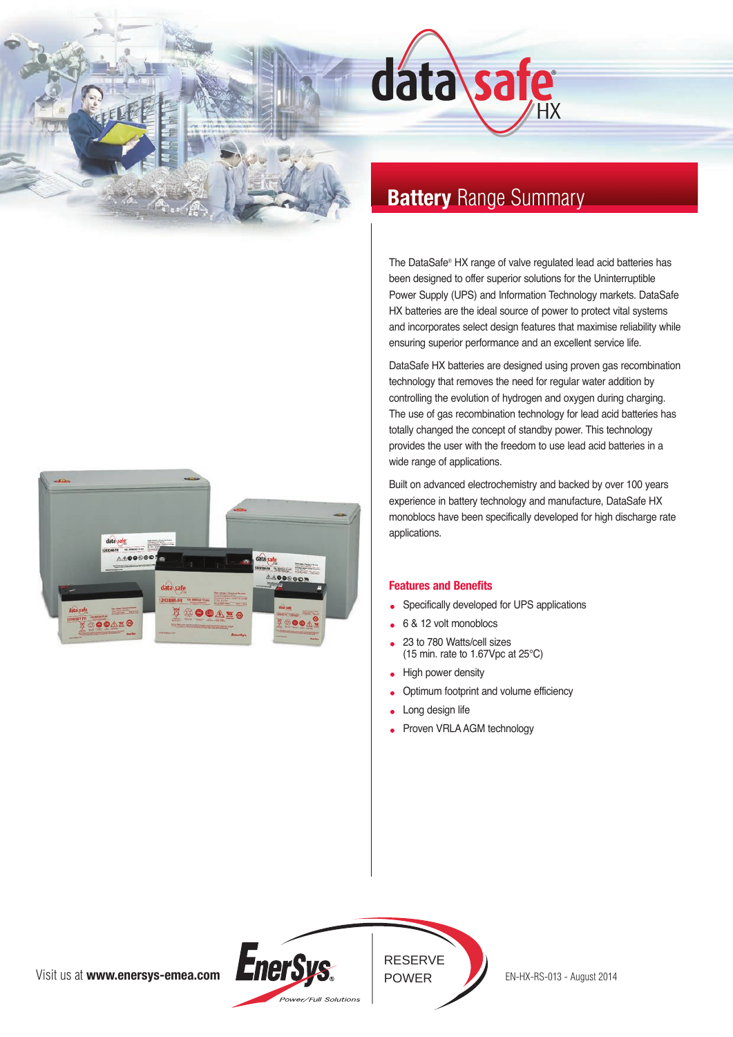



# **Battery** Range Summary

The DataSafe® HX range of valve regulated lead acid batteries has been designed to offer superior solutions for the Uninterruptible Power Supply (UPS) and Information Technology markets. DataSafe HX batteries are the ideal source of power to protect vital systems and incorporates select design features that maximise reliability while ensuring superior performance and an excellent service life.

DataSafe HX batteries are designed using proven gas recombination technology that removes the need for regular water addition by controlling the evolution of hydrogen and oxygen during charging. The use of gas recombination technology for lead acid batteries has totally changed the concept of standby power. This technology provides the user with the freedom to use lead acid batteries in a wide range of applications.

Built on advanced electrochemistry and backed by over 100 years experience in battery technology and manufacture, DataSafe HX monoblocs have been specifically developed for high discharge rate applications.

### **Features and Benefits**

- Specifically developed for UPS applications
- 6 & 12 volt monoblocs
- 23 to 780 Watts/cell sizes (15 min. rate to 1.67Vpc at 25°C)
- High power density
- Optimum footprint and volume efficiency
- Long design life
- Proven VRLA AGM technology